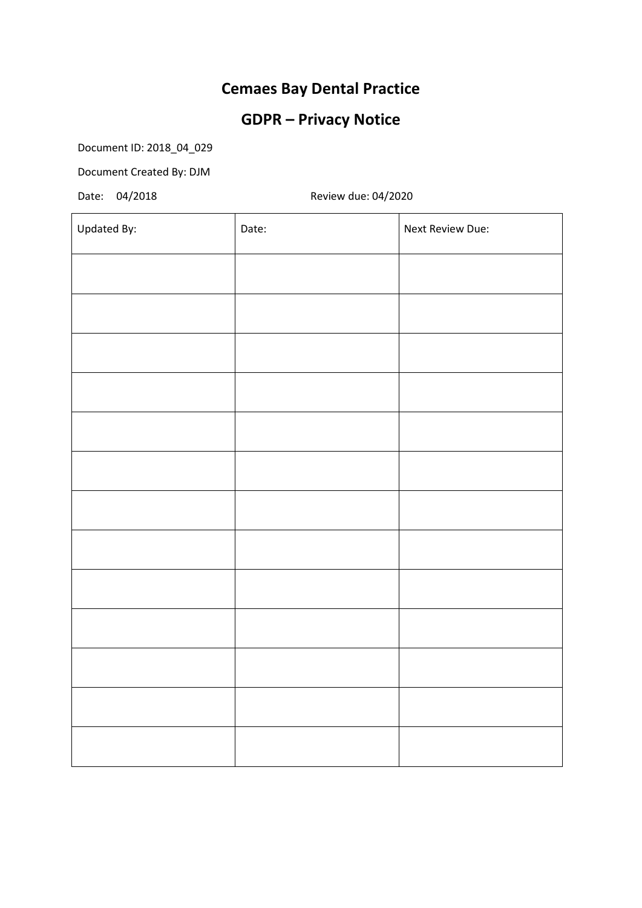## **Cemaes Bay Dental Practice**

## **GDPR – Privacy Notice**

Document ID: 2018\_04\_029

Document Created By: DJM

Date: 04/2018 Review due: 04/2020

| Updated By: | Date: | Next Review Due: |
|-------------|-------|------------------|
|             |       |                  |
|             |       |                  |
|             |       |                  |
|             |       |                  |
|             |       |                  |
|             |       |                  |
|             |       |                  |
|             |       |                  |
|             |       |                  |
|             |       |                  |
|             |       |                  |
|             |       |                  |
|             |       |                  |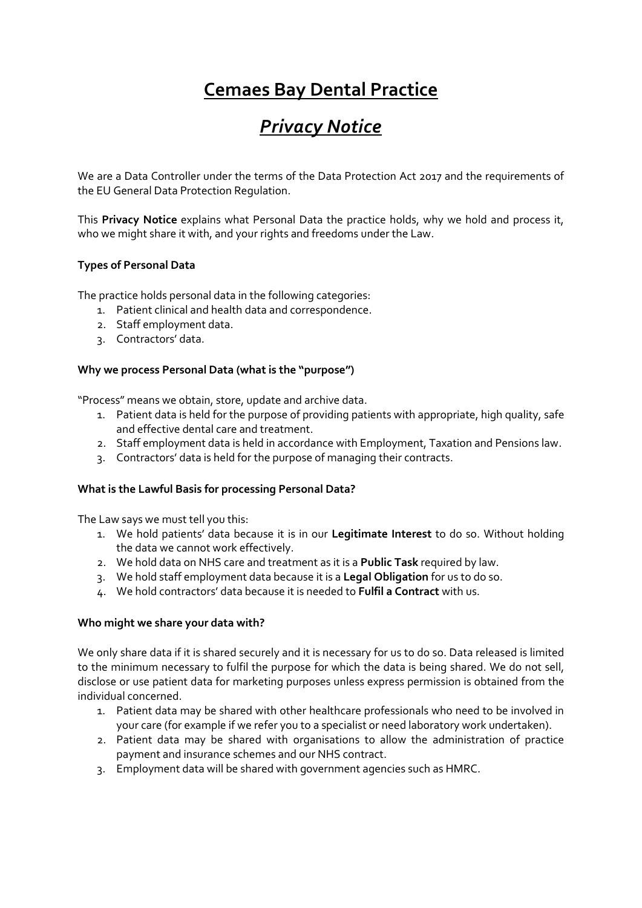# **Cemaes Bay Dental Practice**

# *Privacy Notice*

We are a Data Controller under the terms of the Data Protection Act 2017 and the requirements of the EU General Data Protection Regulation.

This **Privacy Notice** explains what Personal Data the practice holds, why we hold and process it, who we might share it with, and your rights and freedoms under the Law.

### **Types of Personal Data**

The practice holds personal data in the following categories:

- 1. Patient clinical and health data and correspondence.
- 2. Staff employment data.
- 3. Contractors' data.

#### **Why we process Personal Data (what is the "purpose")**

"Process" means we obtain, store, update and archive data.

- 1. Patient data is held for the purpose of providing patients with appropriate, high quality, safe and effective dental care and treatment.
- 2. Staff employment data is held in accordance with Employment, Taxation and Pensions law.
- 3. Contractors' data is held for the purpose of managing their contracts.

#### **What is the Lawful Basis for processing Personal Data?**

The Law says we must tell you this:

- 1. We hold patients' data because it is in our **Legitimate Interest** to do so. Without holding the data we cannot work effectively.
- 2. We hold data on NHS care and treatment as it is a **Public Task** required by law.
- 3. We hold staff employment data because it is a **Legal Obligation** for us to do so.
- 4. We hold contractors' data because it is needed to **Fulfil a Contract** with us.

#### **Who might we share your data with?**

We only share data if it is shared securely and it is necessary for us to do so. Data released is limited to the minimum necessary to fulfil the purpose for which the data is being shared. We do not sell, disclose or use patient data for marketing purposes unless express permission is obtained from the individual concerned.

- 1. Patient data may be shared with other healthcare professionals who need to be involved in your care (for example if we refer you to a specialist or need laboratory work undertaken).
- 2. Patient data may be shared with organisations to allow the administration of practice payment and insurance schemes and our NHS contract.
- 3. Employment data will be shared with government agencies such as HMRC.